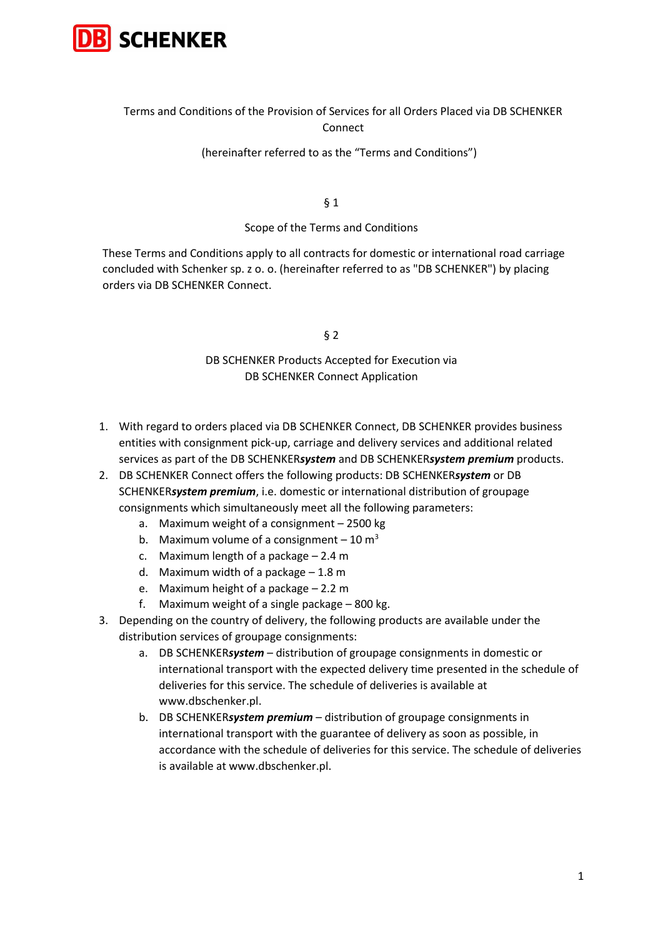

# Terms and Conditions of the Provision of Services for all Orders Placed via DB SCHENKER Connect

## (hereinafter referred to as the "Terms and Conditions")

§ 1

#### Scope of the Terms and Conditions

These Terms and Conditions apply to all contracts for domestic or international road carriage concluded with Schenker sp. z o. o. (hereinafter referred to as "DB SCHENKER") by placing orders via DB SCHENKER Connect.

#### § 2

# DB SCHENKER Products Accepted for Execution via DB SCHENKER Connect Application

- 1. With regard to orders placed via DB SCHENKER Connect, DB SCHENKER provides business entities with consignment pick-up, carriage and delivery services and additional related services as part of the DB SCHENKER*system* and DB SCHENKER*system premium* products.
- 2. DB SCHENKER Connect offers the following products: DB SCHENKER*system* or DB SCHENKER*system premium*, i.e. domestic or international distribution of groupage consignments which simultaneously meet all the following parameters:
	- a. Maximum weight of a consignment 2500 kg
	- b. Maximum volume of a consignment  $-10 \text{ m}^3$
	- c. Maximum length of a package 2.4 m
	- d. Maximum width of a package 1.8 m
	- e. Maximum height of a package 2.2 m
	- f. Maximum weight of a single package 800 kg.
- 3. Depending on the country of delivery, the following products are available under the distribution services of groupage consignments:
	- a. DB SCHENKER*system* distribution of groupage consignments in domestic or international transport with the expected delivery time presented in the schedule of deliveries for this service. The schedule of deliveries is available at www.dbschenker.pl.
	- b. DB SCHENKER*system premium* distribution of groupage consignments in international transport with the guarantee of delivery as soon as possible, in accordance with the schedule of deliveries for this service. The schedule of deliveries is available at www.dbschenker.pl.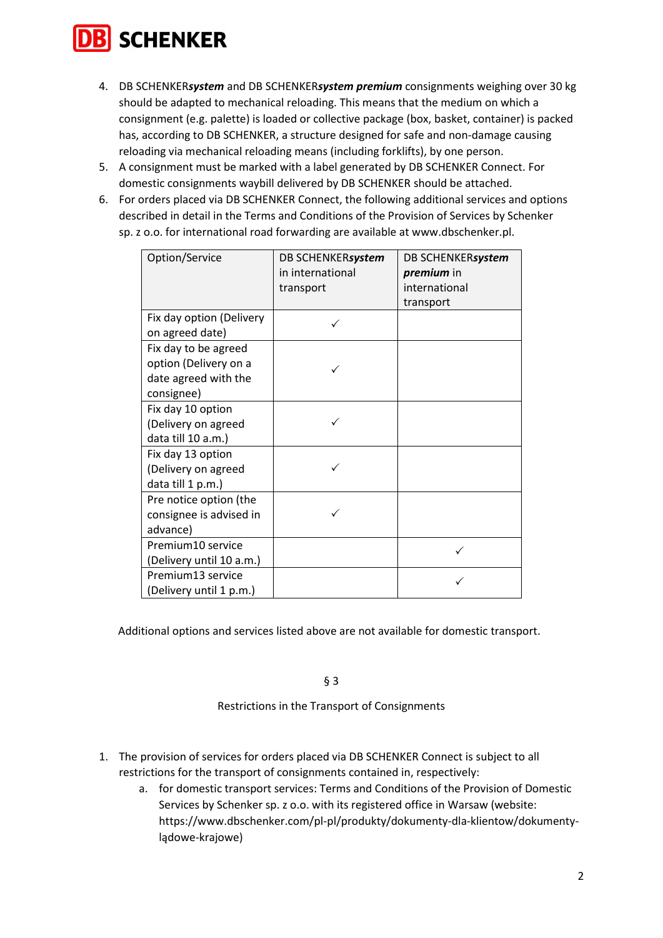

- 4. DB SCHENKER*system* and DB SCHENKER*system premium* consignments weighing over 30 kg should be adapted to mechanical reloading. This means that the medium on which a consignment (e.g. palette) is loaded or collective package (box, basket, container) is packed has, according to DB SCHENKER, a structure designed for safe and non-damage causing reloading via mechanical reloading means (including forklifts), by one person.
- 5. A consignment must be marked with a label generated by DB SCHENKER Connect. For domestic consignments waybill delivered by DB SCHENKER should be attached.
- 6. For orders placed via DB SCHENKER Connect, the following additional services and options described in detail in the Terms and Conditions of the Provision of Services by Schenker sp. z o.o. for international road forwarding are available at www.dbschenker.pl.

| Option/Service           | DB SCHENKERsystem<br>in international<br>transport | DB SCHENKERsystem<br>premium in<br>international |
|--------------------------|----------------------------------------------------|--------------------------------------------------|
|                          |                                                    | transport                                        |
| Fix day option (Delivery |                                                    |                                                  |
| on agreed date)          |                                                    |                                                  |
| Fix day to be agreed     |                                                    |                                                  |
| option (Delivery on a    |                                                    |                                                  |
| date agreed with the     |                                                    |                                                  |
| consignee)               |                                                    |                                                  |
| Fix day 10 option        |                                                    |                                                  |
| (Delivery on agreed      |                                                    |                                                  |
| data till 10 a.m.)       |                                                    |                                                  |
| Fix day 13 option        |                                                    |                                                  |
| (Delivery on agreed      |                                                    |                                                  |
| data till 1 p.m.)        |                                                    |                                                  |
| Pre notice option (the   |                                                    |                                                  |
| consignee is advised in  |                                                    |                                                  |
| advance)                 |                                                    |                                                  |
| Premium10 service        |                                                    | ✓                                                |
| (Delivery until 10 a.m.) |                                                    |                                                  |
| Premium13 service        |                                                    |                                                  |
| (Delivery until 1 p.m.)  |                                                    |                                                  |

Additional options and services listed above are not available for domestic transport.

§ 3

Restrictions in the Transport of Consignments

- 1. The provision of services for orders placed via DB SCHENKER Connect is subject to all restrictions for the transport of consignments contained in, respectively:
	- a. for domestic transport services: Terms and Conditions of the Provision of Domestic Services by Schenker sp. z o.o. with its registered office in Warsaw (website: https://www.dbschenker.com/pl-pl/produkty/dokumenty-dla-klientow/dokumentylądowe-krajowe)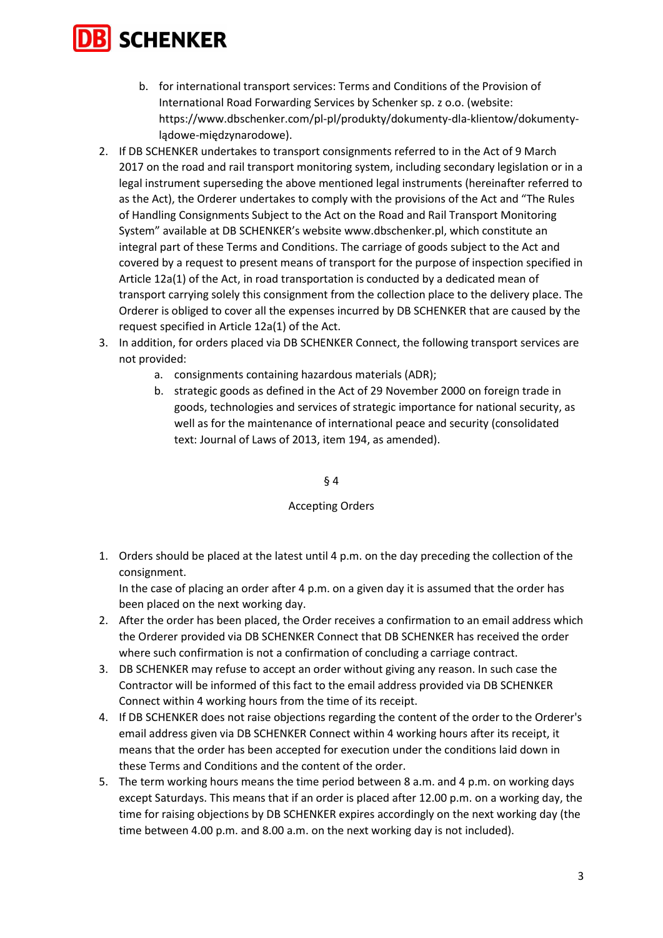

- b. for international transport services: Terms and Conditions of the Provision of International Road Forwarding Services by Schenker sp. z o.o. (website: https://www.dbschenker.com/pl-pl/produkty/dokumenty-dla-klientow/dokumentylądowe-międzynarodowe).
- 2. If DB SCHENKER undertakes to transport consignments referred to in the Act of 9 March 2017 on the road and rail transport monitoring system, including secondary legislation or in a legal instrument superseding the above mentioned legal instruments (hereinafter referred to as the Act), the Orderer undertakes to comply with the provisions of the Act and "The Rules of Handling Consignments Subject to the Act on the Road and Rail Transport Monitoring System" available at DB SCHENKER's website www.dbschenker.pl, which constitute an integral part of these Terms and Conditions. The carriage of goods subject to the Act and covered by a request to present means of transport for the purpose of inspection specified in Article 12a(1) of the Act, in road transportation is conducted by a dedicated mean of transport carrying solely this consignment from the collection place to the delivery place. The Orderer is obliged to cover all the expenses incurred by DB SCHENKER that are caused by the request specified in Article 12a(1) of the Act.
- 3. In addition, for orders placed via DB SCHENKER Connect, the following transport services are not provided:
	- a. consignments containing hazardous materials (ADR);
	- b. strategic goods as defined in the Act of 29 November 2000 on foreign trade in goods, technologies and services of strategic importance for national security, as well as for the maintenance of international peace and security (consolidated text: Journal of Laws of 2013, item 194, as amended).

§ 4

#### Accepting Orders

1. Orders should be placed at the latest until 4 p.m. on the day preceding the collection of the consignment.

In the case of placing an order after 4 p.m. on a given day it is assumed that the order has been placed on the next working day.

- 2. After the order has been placed, the Order receives a confirmation to an email address which the Orderer provided via DB SCHENKER Connect that DB SCHENKER has received the order where such confirmation is not a confirmation of concluding a carriage contract.
- 3. DB SCHENKER may refuse to accept an order without giving any reason. In such case the Contractor will be informed of this fact to the email address provided via DB SCHENKER Connect within 4 working hours from the time of its receipt.
- 4. If DB SCHENKER does not raise objections regarding the content of the order to the Orderer's email address given via DB SCHENKER Connect within 4 working hours after its receipt, it means that the order has been accepted for execution under the conditions laid down in these Terms and Conditions and the content of the order.
- 5. The term working hours means the time period between 8 a.m. and 4 p.m. on working days except Saturdays. This means that if an order is placed after 12.00 p.m. on a working day, the time for raising objections by DB SCHENKER expires accordingly on the next working day (the time between 4.00 p.m. and 8.00 a.m. on the next working day is not included).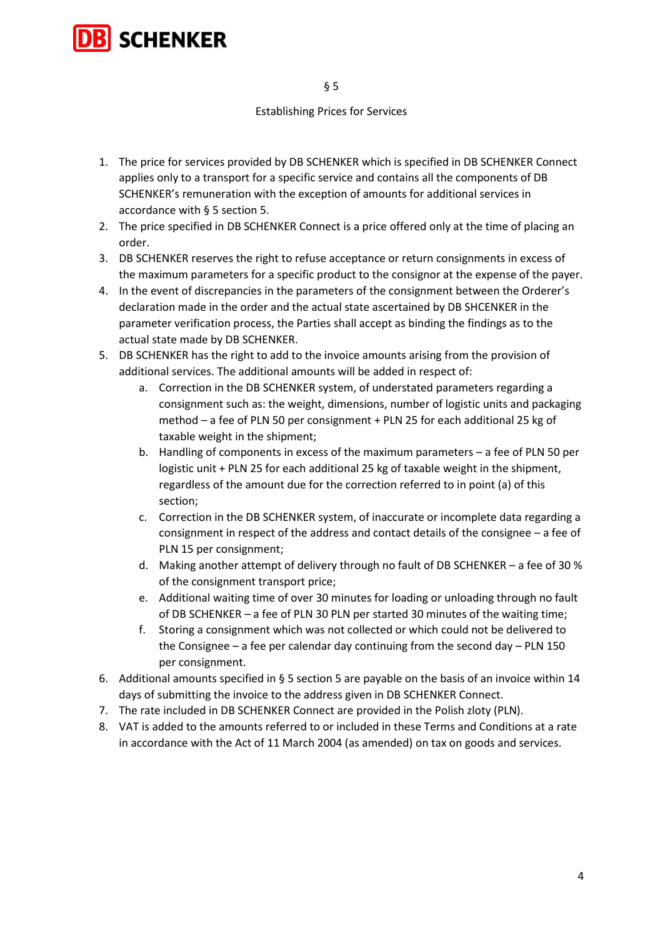

# Establishing Prices for Services

- 1. The price for services provided by DB SCHENKER which is specified in DB SCHENKER Connect applies only to a transport for a specific service and contains all the components of DB SCHENKER's remuneration with the exception of amounts for additional services in accordance with § 5 section 5.
- 2. The price specified in DB SCHENKER Connect is a price offered only at the time of placing an order.
- 3. DB SCHENKER reserves the right to refuse acceptance or return consignments in excess of the maximum parameters for a specific product to the consignor at the expense of the payer.
- 4. In the event of discrepancies in the parameters of the consignment between the Orderer's declaration made in the order and the actual state ascertained by DB SHCENKER in the parameter verification process, the Parties shall accept as binding the findings as to the actual state made by DB SCHENKER.
- 5. DB SCHENKER has the right to add to the invoice amounts arising from the provision of additional services. The additional amounts will be added in respect of:
	- a. Correction in the DB SCHENKER system, of understated parameters regarding a consignment such as: the weight, dimensions, number of logistic units and packaging method – a fee of PLN 50 per consignment + PLN 25 for each additional 25 kg of taxable weight in the shipment;
	- b. Handling of components in excess of the maximum parameters a fee of PLN 50 per logistic unit + PLN 25 for each additional 25 kg of taxable weight in the shipment, regardless of the amount due for the correction referred to in point (a) of this section;
	- c. Correction in the DB SCHENKER system, of inaccurate or incomplete data regarding a consignment in respect of the address and contact details of the consignee – a fee of PLN 15 per consignment;
	- d. Making another attempt of delivery through no fault of DB SCHENKER a fee of 30 % of the consignment transport price;
	- e. Additional waiting time of over 30 minutes for loading or unloading through no fault of DB SCHENKER – a fee of PLN 30 PLN per started 30 minutes of the waiting time;
	- f. Storing a consignment which was not collected or which could not be delivered to the Consignee – a fee per calendar day continuing from the second day – PLN 150 per consignment.
- 6. Additional amounts specified in § 5 section 5 are payable on the basis of an invoice within 14 days of submitting the invoice to the address given in DB SCHENKER Connect.
- 7. The rate included in DB SCHENKER Connect are provided in the Polish zloty (PLN).
- 8. VAT is added to the amounts referred to or included in these Terms and Conditions at a rate in accordance with the Act of 11 March 2004 (as amended) on tax on goods and services.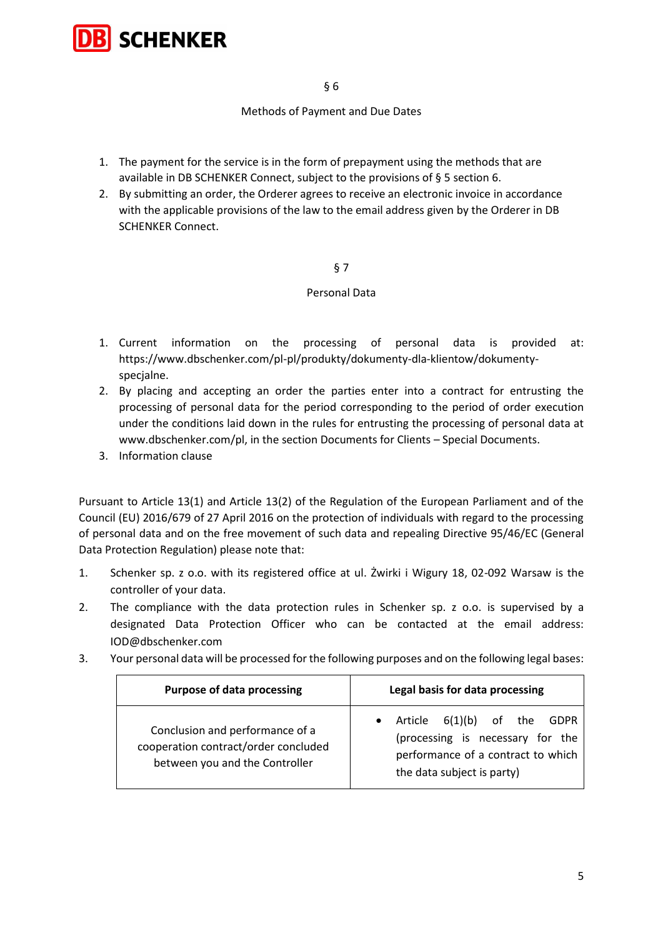

§ 6

# Methods of Payment and Due Dates

- 1. The payment for the service is in the form of prepayment using the methods that are available in DB SCHENKER Connect, subject to the provisions of § 5 section 6.
- 2. By submitting an order, the Orderer agrees to receive an electronic invoice in accordance with the applicable provisions of the law to the email address given by the Orderer in DB SCHENKER Connect.

# § 7

# Personal Data

- 1. Current information on the processing of personal data is provided at: https://www.dbschenker.com/pl-pl/produkty/dokumenty-dla-klientow/dokumentyspecjalne.
- 2. By placing and accepting an order the parties enter into a contract for entrusting the processing of personal data for the period corresponding to the period of order execution under the conditions laid down in the rules for entrusting the processing of personal data at www.dbschenker.com/pl, in the section Documents for Clients – Special Documents.
- 3. Information clause

Pursuant to Article 13(1) and Article 13(2) of the Regulation of the European Parliament and of the Council (EU) 2016/679 of 27 April 2016 on the protection of individuals with regard to the processing of personal data and on the free movement of such data and repealing Directive 95/46/EC (General Data Protection Regulation) please note that:

- 1. Schenker sp. z o.o. with its registered office at ul. Żwirki i Wigury 18, 02-092 Warsaw is the controller of your data.
- 2. The compliance with the data protection rules in Schenker sp. z o.o. is supervised by a designated Data Protection Officer who can be contacted at the email address: IOD@dbschenker.com
- 3. Your personal data will be processed for the following purposes and on the following legal bases:

| <b>Purpose of data processing</b>                                                                         | Legal basis for data processing                                                                                                                        |
|-----------------------------------------------------------------------------------------------------------|--------------------------------------------------------------------------------------------------------------------------------------------------------|
| Conclusion and performance of a<br>cooperation contract/order concluded<br>between you and the Controller | 6(1)(b) of the<br>Article<br>GDPR<br>$\bullet$<br>(processing is necessary for the<br>performance of a contract to which<br>the data subject is party) |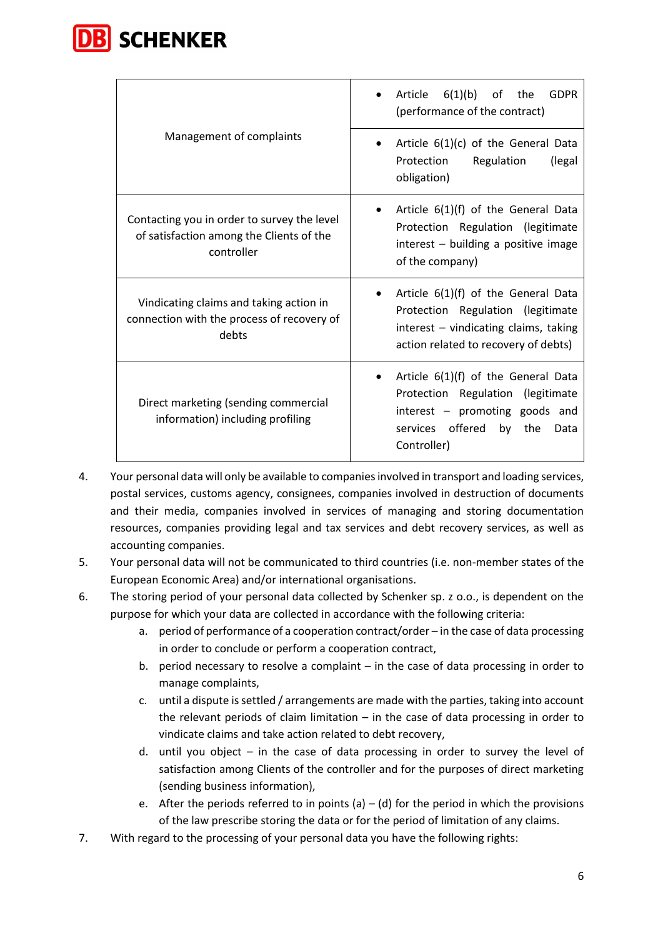

|                                                                                                       | Article $6(1)(b)$ of the<br><b>GDPR</b><br>(performance of the contract)                                                                                          |
|-------------------------------------------------------------------------------------------------------|-------------------------------------------------------------------------------------------------------------------------------------------------------------------|
| Management of complaints                                                                              | Article $6(1)(c)$ of the General Data<br>$\bullet$<br>Protection<br>Regulation<br>(legal<br>obligation)                                                           |
| Contacting you in order to survey the level<br>of satisfaction among the Clients of the<br>controller | Article $6(1)(f)$ of the General Data<br>Protection Regulation (legitimate<br>interest - building a positive image<br>of the company)                             |
| Vindicating claims and taking action in<br>connection with the process of recovery of<br>debts        | Article $6(1)(f)$ of the General Data<br>Protection Regulation (legitimate<br>interest - vindicating claims, taking<br>action related to recovery of debts)       |
| Direct marketing (sending commercial<br>information) including profiling                              | Article $6(1)(f)$ of the General Data<br>Protection Regulation (legitimate<br>interest - promoting goods and<br>services offered<br>by the<br>Data<br>Controller) |

- 4. Your personal data will only be available to companies involved in transport and loading services, postal services, customs agency, consignees, companies involved in destruction of documents and their media, companies involved in services of managing and storing documentation resources, companies providing legal and tax services and debt recovery services, as well as accounting companies.
- 5. Your personal data will not be communicated to third countries (i.e. non-member states of the European Economic Area) and/or international organisations.
- 6. The storing period of your personal data collected by Schenker sp. z o.o., is dependent on the purpose for which your data are collected in accordance with the following criteria:
	- a. period of performance of a cooperation contract/order in the case of data processing in order to conclude or perform a cooperation contract,
	- b. period necessary to resolve a complaint  $-$  in the case of data processing in order to manage complaints,
	- c. until a dispute is settled / arrangements are made with the parties, taking into account the relevant periods of claim limitation – in the case of data processing in order to vindicate claims and take action related to debt recovery,
	- d. until you object in the case of data processing in order to survey the level of satisfaction among Clients of the controller and for the purposes of direct marketing (sending business information),
	- e. After the periods referred to in points (a) (d) for the period in which the provisions of the law prescribe storing the data or for the period of limitation of any claims.
- 7. With regard to the processing of your personal data you have the following rights: